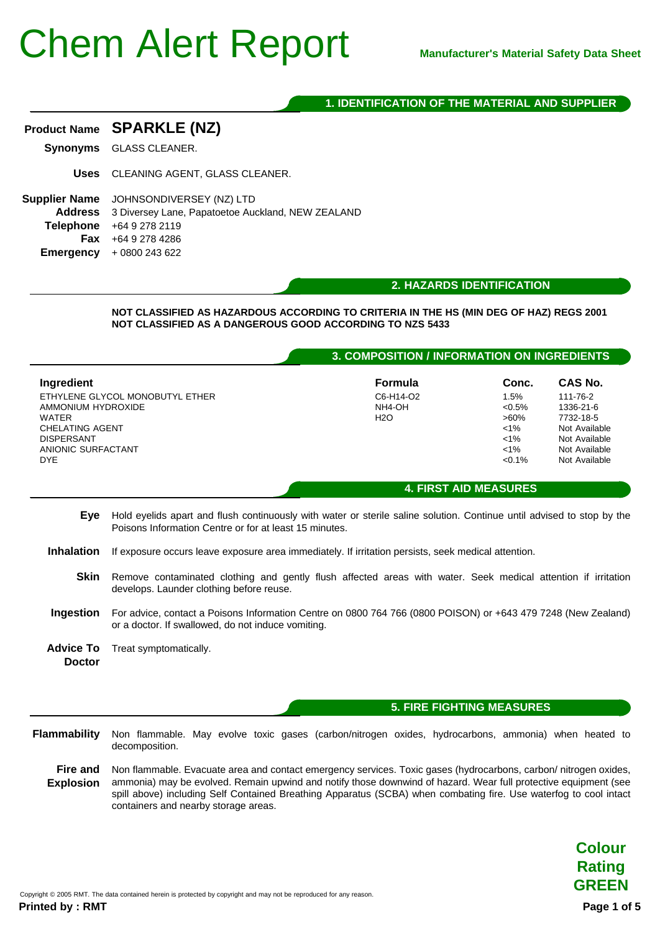### **1. IDENTIFICATION OF THE MATERIAL AND SUPPLIER**

| Product Name SPARKLE (NZ)      |
|--------------------------------|
| <b>Synonyms</b> GLASS CLEANER. |
|                                |

**Uses** CLEANING AGENT, GLASS CLEANER.

**Supplier Name** JOHNSONDIVERSEY (NZ) LTD **Address** 3 Diversey Lane, Papatoetoe Auckland, NEW ZEALAND **Telephone** +64 9 278 2119 **Fax** +64 9 278 4286 **Emergency** + 0800 243 622

**2. HAZARDS IDENTIFICATION**

**NOT CLASSIFIED AS HAZARDOUS ACCORDING TO CRITERIA IN THE HS (MIN DEG OF HAZ) REGS 2001 NOT CLASSIFIED AS A DANGEROUS GOOD ACCORDING TO NZS 5433**

#### **3. COMPOSITION / INFORMATION ON INGREDIENTS**

| Ingredient                      | <b>Formula</b> | Conc.     | CAS No.       |
|---------------------------------|----------------|-----------|---------------|
| ETHYLENE GLYCOL MONOBUTYL ETHER | C6-H14-O2      | 1.5%      | 111-76-2      |
| AMMONIUM HYDROXIDE              | NH4-OH         | $< 0.5\%$ | 1336-21-6     |
| <b>WATER</b>                    | H2O            | $>60\%$   | 7732-18-5     |
| CHELATING AGENT                 |                | $1\%$     | Not Available |
| <b>DISPERSANT</b>               |                | $1\%$     | Not Available |
| ANIONIC SURFACTANT              |                | $1\%$     | Not Available |
| <b>DYE</b>                      |                | $< 0.1\%$ | Not Available |
|                                 |                |           |               |

#### **4. FIRST AID MEASURES**

- **Eye** Hold eyelids apart and flush continuously with water or sterile saline solution. Continue until advised to stop by the Poisons Information Centre or for at least 15 minutes.
- **Inhalation** If exposure occurs leave exposure area immediately. If irritation persists, seek medical attention.
	- **Skin** Remove contaminated clothing and gently flush affected areas with water. Seek medical attention if irritation develops. Launder clothing before reuse.
- **Ingestion** For advice, contact a Poisons Information Centre on 0800 764 766 (0800 POISON) or +643 479 7248 (New Zealand) or a doctor. If swallowed, do not induce vomiting.
- **Advice To Doctor** Treat symptomatically.

#### **5. FIRE FIGHTING MEASURES**

**Flammability** Non flammable. May evolve toxic gases (carbon/nitrogen oxides, hydrocarbons, ammonia) when heated to decomposition.

**Fire and** Non flammable. Evacuate area and contact emergency services. Toxic gases (hydrocarbons, carbon/ nitrogen oxides, **Explosion** ammonia) may be evolved. Remain upwind and notify those downwind of hazard. Wear full protective equipment (see spill above) including Self Contained Breathing Apparatus (SCBA) when combating fire. Use waterfog to cool intact containers and nearby storage areas.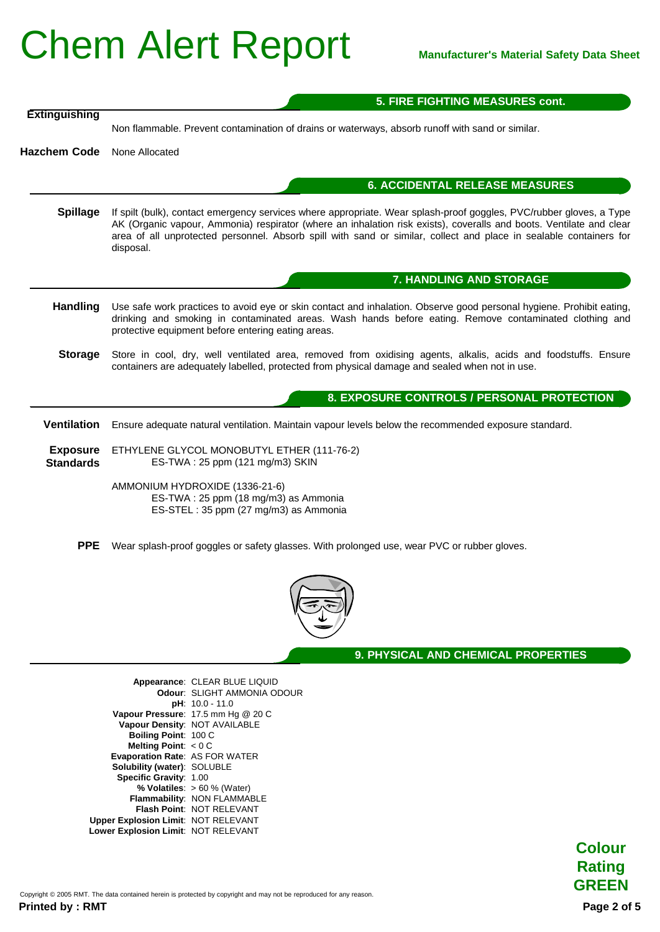|                                     | 5. FIRE FIGHTING MEASURES cont.                                                                                                                                                                                                                                                                                                                                               |
|-------------------------------------|-------------------------------------------------------------------------------------------------------------------------------------------------------------------------------------------------------------------------------------------------------------------------------------------------------------------------------------------------------------------------------|
| <b>Extinguishing</b>                | Non flammable. Prevent contamination of drains or waterways, absorb runoff with sand or similar.                                                                                                                                                                                                                                                                              |
| <b>Hazchem Code</b>                 | None Allocated                                                                                                                                                                                                                                                                                                                                                                |
|                                     | <b>6. ACCIDENTAL RELEASE MEASURES</b>                                                                                                                                                                                                                                                                                                                                         |
| <b>Spillage</b>                     | If spilt (bulk), contact emergency services where appropriate. Wear splash-proof goggles, PVC/rubber gloves, a Type<br>AK (Organic vapour, Ammonia) respirator (where an inhalation risk exists), coveralls and boots. Ventilate and clear<br>area of all unprotected personnel. Absorb spill with sand or similar, collect and place in sealable containers for<br>disposal. |
|                                     | 7. HANDLING AND STORAGE                                                                                                                                                                                                                                                                                                                                                       |
| Handling                            | Use safe work practices to avoid eye or skin contact and inhalation. Observe good personal hygiene. Prohibit eating,<br>drinking and smoking in contaminated areas. Wash hands before eating. Remove contaminated clothing and<br>protective equipment before entering eating areas.                                                                                          |
| <b>Storage</b>                      | Store in cool, dry, well ventilated area, removed from oxidising agents, alkalis, acids and foodstuffs. Ensure<br>containers are adequately labelled, protected from physical damage and sealed when not in use.                                                                                                                                                              |
|                                     | 8. EXPOSURE CONTROLS / PERSONAL PROTECTION                                                                                                                                                                                                                                                                                                                                    |
| <b>Ventilation</b>                  | Ensure adequate natural ventilation. Maintain vapour levels below the recommended exposure standard.                                                                                                                                                                                                                                                                          |
| <b>Exposure</b><br><b>Standards</b> | ETHYLENE GLYCOL MONOBUTYL ETHER (111-76-2)<br>ES-TWA: 25 ppm (121 mg/m3) SKIN                                                                                                                                                                                                                                                                                                 |
|                                     | AMMONIUM HYDROXIDE (1336-21-6)<br>ES-TWA: 25 ppm (18 mg/m3) as Ammonia<br>ES-STEL: 35 ppm (27 mg/m3) as Ammonia                                                                                                                                                                                                                                                               |
| <b>PPE</b>                          | Wear splash-proof goggles or safety glasses. With prolonged use, wear PVC or rubber gloves.                                                                                                                                                                                                                                                                                   |



**9. PHYSICAL AND CHEMICAL PROPERTIES**

|                                            | Appearance: CLEAR BLUE LIQUID      |
|--------------------------------------------|------------------------------------|
|                                            | Odour: SLIGHT AMMONIA ODOUR        |
|                                            | $pH: 10.0 - 11.0$                  |
|                                            | Vapour Pressure: 17.5 mm Hg @ 20 C |
|                                            | Vapour Density: NOT AVAILABLE      |
| Boiling Point: 100 C                       |                                    |
| Melting Point: $< 0 C$                     |                                    |
| <b>Evaporation Rate: AS FOR WATER</b>      |                                    |
| <b>Solubility (water): SOLUBLE</b>         |                                    |
| Specific Gravity: 1.00                     |                                    |
|                                            | % Volatiles: $> 60$ % (Water)      |
|                                            | Flammability: NON FLAMMABLE        |
|                                            | Flash Point: NOT RELEVANT          |
| <b>Upper Explosion Limit: NOT RELEVANT</b> |                                    |
| Lower Explosion Limit: NOT RELEVANT        |                                    |
|                                            |                                    |



**Colour**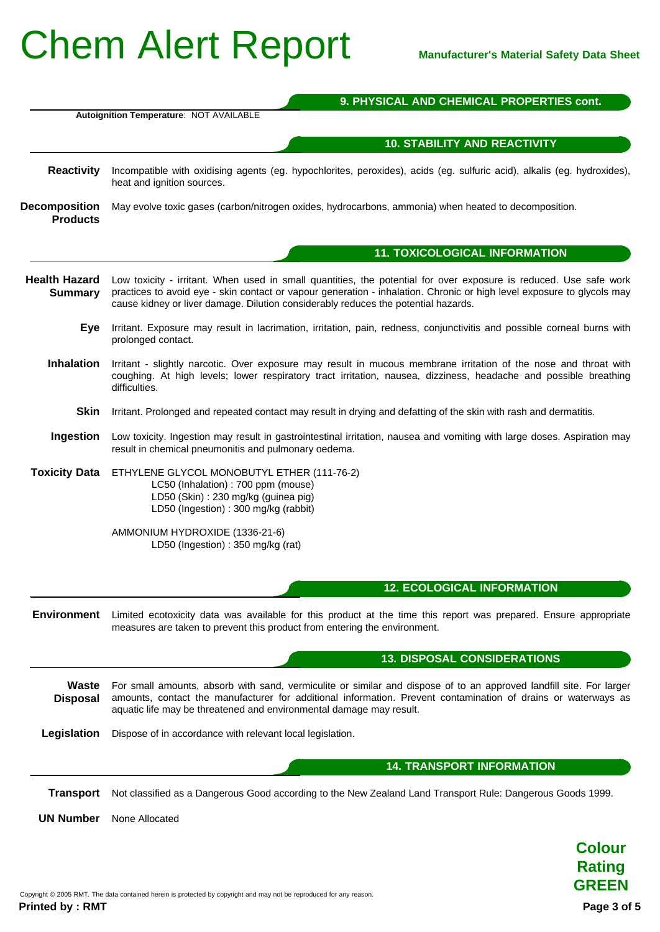|                                         | 9. PHYSICAL AND CHEMICAL PROPERTIES cont.                                                                                                                                                                                                                                                                                         |  |
|-----------------------------------------|-----------------------------------------------------------------------------------------------------------------------------------------------------------------------------------------------------------------------------------------------------------------------------------------------------------------------------------|--|
|                                         | Autoignition Temperature: NOT AVAILABLE                                                                                                                                                                                                                                                                                           |  |
|                                         | <b>10. STABILITY AND REACTIVITY</b>                                                                                                                                                                                                                                                                                               |  |
| <b>Reactivity</b>                       | Incompatible with oxidising agents (eg. hypochlorites, peroxides), acids (eg. sulfuric acid), alkalis (eg. hydroxides),<br>heat and ignition sources.                                                                                                                                                                             |  |
| <b>Decomposition</b><br><b>Products</b> | May evolve toxic gases (carbon/nitrogen oxides, hydrocarbons, ammonia) when heated to decomposition.                                                                                                                                                                                                                              |  |
|                                         | <b>11. TOXICOLOGICAL INFORMATION</b>                                                                                                                                                                                                                                                                                              |  |
| <b>Health Hazard</b><br><b>Summary</b>  | Low toxicity - irritant. When used in small quantities, the potential for over exposure is reduced. Use safe work<br>practices to avoid eye - skin contact or vapour generation - inhalation. Chronic or high level exposure to glycols may<br>cause kidney or liver damage. Dilution considerably reduces the potential hazards. |  |
| <b>Eye</b>                              | Irritant. Exposure may result in lacrimation, irritation, pain, redness, conjunctivitis and possible corneal burns with<br>prolonged contact.                                                                                                                                                                                     |  |
| <b>Inhalation</b>                       | Irritant - slightly narcotic. Over exposure may result in mucous membrane irritation of the nose and throat with<br>coughing. At high levels; lower respiratory tract irritation, nausea, dizziness, headache and possible breathing<br>difficulties.                                                                             |  |
| <b>Skin</b>                             | Irritant. Prolonged and repeated contact may result in drying and defatting of the skin with rash and dermatitis.                                                                                                                                                                                                                 |  |
| Ingestion                               | Low toxicity. Ingestion may result in gastrointestinal irritation, nausea and vomiting with large doses. Aspiration may<br>result in chemical pneumonitis and pulmonary oedema.                                                                                                                                                   |  |
| <b>Toxicity Data</b>                    | ETHYLENE GLYCOL MONOBUTYL ETHER (111-76-2)<br>LC50 (Inhalation) : 700 ppm (mouse)<br>LD50 (Skin): 230 mg/kg (guinea pig)<br>LD50 (Ingestion): 300 mg/kg (rabbit)                                                                                                                                                                  |  |
|                                         | AMMONIUM HYDROXIDE (1336-21-6)<br>LD50 (Ingestion): 350 mg/kg (rat)                                                                                                                                                                                                                                                               |  |
|                                         | <b>12. ECOLOGICAL INFORMATION</b>                                                                                                                                                                                                                                                                                                 |  |
| <b>Environment</b>                      | Limited ecotoxicity data was available for this product at the time this report was prepared. Ensure appropriate<br>measures are taken to prevent this product from entering the environment.                                                                                                                                     |  |
|                                         | <b>13. DISPOSAL CONSIDERATIONS</b>                                                                                                                                                                                                                                                                                                |  |
| Waste<br><b>Disposal</b>                | For small amounts, absorb with sand, vermiculite or similar and dispose of to an approved landfill site. For larger<br>amounts, contact the manufacturer for additional information. Prevent contamination of drains or waterways as<br>aquatic life may be threatened and environmental damage may result.                       |  |
| Legislation                             | Dispose of in accordance with relevant local legislation.                                                                                                                                                                                                                                                                         |  |
|                                         | <b>14. TRANSPORT INFORMATION</b>                                                                                                                                                                                                                                                                                                  |  |
| <b>Transport</b>                        | Not classified as a Dangerous Good according to the New Zealand Land Transport Rule: Dangerous Goods 1999.                                                                                                                                                                                                                        |  |
| <b>UN Number</b>                        | None Allocated                                                                                                                                                                                                                                                                                                                    |  |
|                                         |                                                                                                                                                                                                                                                                                                                                   |  |
|                                         | <b>Colour</b>                                                                                                                                                                                                                                                                                                                     |  |

**Rating GREEN**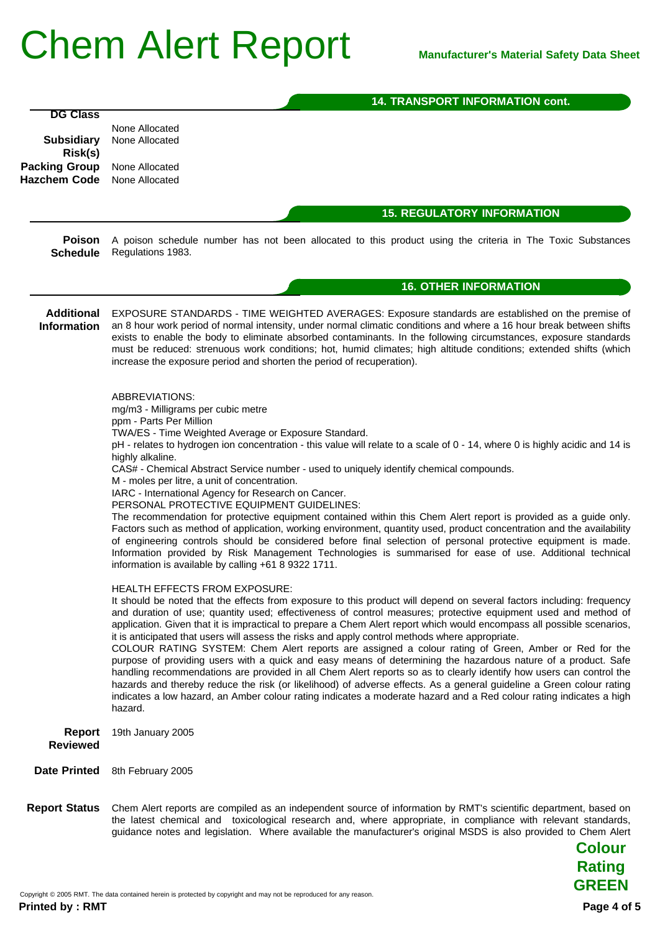|                                         | <b>14. TRANSPORT INFORMATION cont.</b>                                                                                                                                                                                                                                                                                                                                                                                                                                                                                                                                                                                                                                                                                                                                                                                                                                                                                                                                                                                                                                         |
|-----------------------------------------|--------------------------------------------------------------------------------------------------------------------------------------------------------------------------------------------------------------------------------------------------------------------------------------------------------------------------------------------------------------------------------------------------------------------------------------------------------------------------------------------------------------------------------------------------------------------------------------------------------------------------------------------------------------------------------------------------------------------------------------------------------------------------------------------------------------------------------------------------------------------------------------------------------------------------------------------------------------------------------------------------------------------------------------------------------------------------------|
| <b>DG Class</b>                         |                                                                                                                                                                                                                                                                                                                                                                                                                                                                                                                                                                                                                                                                                                                                                                                                                                                                                                                                                                                                                                                                                |
|                                         | None Allocated<br>None Allocated                                                                                                                                                                                                                                                                                                                                                                                                                                                                                                                                                                                                                                                                                                                                                                                                                                                                                                                                                                                                                                               |
| <b>Subsidiary</b><br>Risk(s)            |                                                                                                                                                                                                                                                                                                                                                                                                                                                                                                                                                                                                                                                                                                                                                                                                                                                                                                                                                                                                                                                                                |
| <b>Packing Group</b>                    | None Allocated                                                                                                                                                                                                                                                                                                                                                                                                                                                                                                                                                                                                                                                                                                                                                                                                                                                                                                                                                                                                                                                                 |
| <b>Hazchem Code</b>                     | None Allocated                                                                                                                                                                                                                                                                                                                                                                                                                                                                                                                                                                                                                                                                                                                                                                                                                                                                                                                                                                                                                                                                 |
|                                         |                                                                                                                                                                                                                                                                                                                                                                                                                                                                                                                                                                                                                                                                                                                                                                                                                                                                                                                                                                                                                                                                                |
|                                         | <b>15. REGULATORY INFORMATION</b>                                                                                                                                                                                                                                                                                                                                                                                                                                                                                                                                                                                                                                                                                                                                                                                                                                                                                                                                                                                                                                              |
| <b>Poison</b><br><b>Schedule</b>        | A poison schedule number has not been allocated to this product using the criteria in The Toxic Substances<br>Regulations 1983.                                                                                                                                                                                                                                                                                                                                                                                                                                                                                                                                                                                                                                                                                                                                                                                                                                                                                                                                                |
|                                         | <b>16. OTHER INFORMATION</b>                                                                                                                                                                                                                                                                                                                                                                                                                                                                                                                                                                                                                                                                                                                                                                                                                                                                                                                                                                                                                                                   |
| <b>Additional</b><br><b>Information</b> | EXPOSURE STANDARDS - TIME WEIGHTED AVERAGES: Exposure standards are established on the premise of<br>an 8 hour work period of normal intensity, under normal climatic conditions and where a 16 hour break between shifts<br>exists to enable the body to eliminate absorbed contaminants. In the following circumstances, exposure standards<br>must be reduced: strenuous work conditions; hot, humid climates; high altitude conditions; extended shifts (which<br>increase the exposure period and shorten the period of recuperation).                                                                                                                                                                                                                                                                                                                                                                                                                                                                                                                                    |
|                                         | ABBREVIATIONS:                                                                                                                                                                                                                                                                                                                                                                                                                                                                                                                                                                                                                                                                                                                                                                                                                                                                                                                                                                                                                                                                 |
|                                         | mg/m3 - Milligrams per cubic metre                                                                                                                                                                                                                                                                                                                                                                                                                                                                                                                                                                                                                                                                                                                                                                                                                                                                                                                                                                                                                                             |
|                                         | ppm - Parts Per Million<br>TWA/ES - Time Weighted Average or Exposure Standard.                                                                                                                                                                                                                                                                                                                                                                                                                                                                                                                                                                                                                                                                                                                                                                                                                                                                                                                                                                                                |
|                                         | pH - relates to hydrogen ion concentration - this value will relate to a scale of 0 - 14, where 0 is highly acidic and 14 is                                                                                                                                                                                                                                                                                                                                                                                                                                                                                                                                                                                                                                                                                                                                                                                                                                                                                                                                                   |
|                                         | highly alkaline.                                                                                                                                                                                                                                                                                                                                                                                                                                                                                                                                                                                                                                                                                                                                                                                                                                                                                                                                                                                                                                                               |
|                                         | CAS# - Chemical Abstract Service number - used to uniquely identify chemical compounds.<br>M - moles per litre, a unit of concentration.                                                                                                                                                                                                                                                                                                                                                                                                                                                                                                                                                                                                                                                                                                                                                                                                                                                                                                                                       |
|                                         | IARC - International Agency for Research on Cancer.                                                                                                                                                                                                                                                                                                                                                                                                                                                                                                                                                                                                                                                                                                                                                                                                                                                                                                                                                                                                                            |
|                                         | PERSONAL PROTECTIVE EQUIPMENT GUIDELINES:                                                                                                                                                                                                                                                                                                                                                                                                                                                                                                                                                                                                                                                                                                                                                                                                                                                                                                                                                                                                                                      |
|                                         | The recommendation for protective equipment contained within this Chem Alert report is provided as a guide only.<br>Factors such as method of application, working environment, quantity used, product concentration and the availability<br>of engineering controls should be considered before final selection of personal protective equipment is made.<br>Information provided by Risk Management Technologies is summarised for ease of use. Additional technical<br>information is available by calling +61 8 9322 1711.                                                                                                                                                                                                                                                                                                                                                                                                                                                                                                                                                 |
|                                         | HEALTH EFFECTS FROM EXPOSURE:                                                                                                                                                                                                                                                                                                                                                                                                                                                                                                                                                                                                                                                                                                                                                                                                                                                                                                                                                                                                                                                  |
|                                         | It should be noted that the effects from exposure to this product will depend on several factors including: frequency<br>and duration of use; quantity used; effectiveness of control measures; protective equipment used and method of<br>application. Given that it is impractical to prepare a Chem Alert report which would encompass all possible scenarios,<br>it is anticipated that users will assess the risks and apply control methods where appropriate.<br>COLOUR RATING SYSTEM: Chem Alert reports are assigned a colour rating of Green, Amber or Red for the<br>purpose of providing users with a quick and easy means of determining the hazardous nature of a product. Safe<br>handling recommendations are provided in all Chem Alert reports so as to clearly identify how users can control the<br>hazards and thereby reduce the risk (or likelihood) of adverse effects. As a general guideline a Green colour rating<br>indicates a low hazard, an Amber colour rating indicates a moderate hazard and a Red colour rating indicates a high<br>hazard. |
| <b>Report</b><br><b>Reviewed</b>        | 19th January 2005                                                                                                                                                                                                                                                                                                                                                                                                                                                                                                                                                                                                                                                                                                                                                                                                                                                                                                                                                                                                                                                              |
| <b>Date Printed</b>                     | 8th February 2005                                                                                                                                                                                                                                                                                                                                                                                                                                                                                                                                                                                                                                                                                                                                                                                                                                                                                                                                                                                                                                                              |
| <b>Report Status</b>                    | Chem Alert reports are compiled as an independent source of information by RMT's scientific department, based on<br>the latest chemical and toxicological research and, where appropriate, in compliance with relevant standards,<br>guidance notes and legislation. Where available the manufacturer's original MSDS is also provided to Chem Alert<br><b>Colour</b>                                                                                                                                                                                                                                                                                                                                                                                                                                                                                                                                                                                                                                                                                                          |

**Rating GREEN**